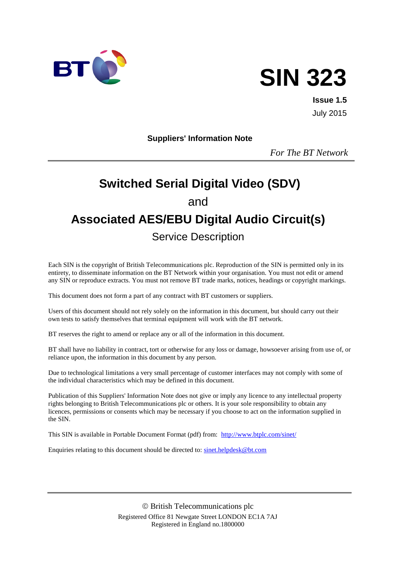

# **SIN 323**

**Issue 1.5** July 2015

**Suppliers' Information Note**

*For The BT Network*

# **Switched Serial Digital Video (SDV)** and **Associated AES/EBU Digital Audio Circuit(s)** Service Description

Each SIN is the copyright of British Telecommunications plc. Reproduction of the SIN is permitted only in its entirety, to disseminate information on the BT Network within your organisation. You must not edit or amend any SIN or reproduce extracts. You must not remove BT trade marks, notices, headings or copyright markings.

This document does not form a part of any contract with BT customers or suppliers.

Users of this document should not rely solely on the information in this document, but should carry out their own tests to satisfy themselves that terminal equipment will work with the BT network.

BT reserves the right to amend or replace any or all of the information in this document.

BT shall have no liability in contract, tort or otherwise for any loss or damage, howsoever arising from use of, or reliance upon, the information in this document by any person.

Due to technological limitations a very small percentage of customer interfaces may not comply with some of the individual characteristics which may be defined in this document.

Publication of this Suppliers' Information Note does not give or imply any licence to any intellectual property rights belonging to British Telecommunications plc or others. It is your sole responsibility to obtain any licences, permissions or consents which may be necessary if you choose to act on the information supplied in the SIN.

This SIN is available in Portable Document Format (pdf) from: <http://www.btplc.com/sinet/>

Enquiries relating to this document should be directed to: [sinet.helpdesk@bt.com](mailto:sinet.helpdesk@bt.com)

 British Telecommunications plc Registered Office 81 Newgate Street LONDON EC1A 7AJ Registered in England no.1800000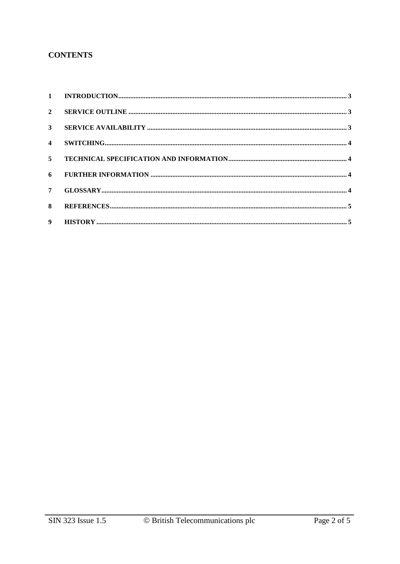## **CONTENTS**

| $\mathbf{2}$   |  |
|----------------|--|
| $3^{\circ}$    |  |
|                |  |
|                |  |
|                |  |
| $7^{\circ}$    |  |
| 8 <sub>1</sub> |  |
| 9 <sup>1</sup> |  |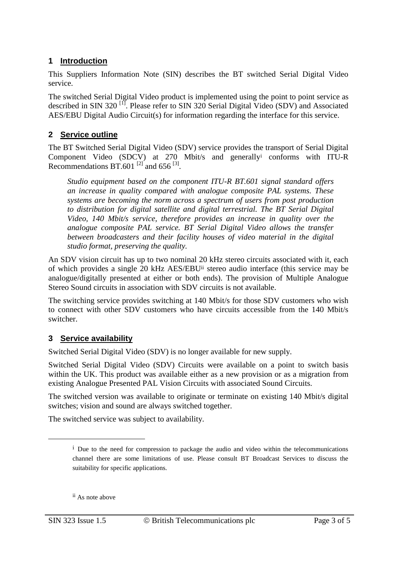# **1 Introduction**

This Suppliers Information Note (SIN) describes the BT switched Serial Digital Video service.

The switched Serial Digital Video product is implemented using the point to point service as described in SIN 320<sup>[1]</sup>. Please refer to SIN 320 Serial Digital Video (SDV) and Associated AES/EBU Digital Audio Circuit(s) for information regarding the interface for this service.

# **2 Service outline**

The BT Switched Serial Digital Video (SDV) service provides the transport of Serial Digital Component Video (SDCV) at 270 Mbit/s and generally<sup>i</sup> conforms with ITU-R Recommendations BT.601<sup>[2]</sup> and 656<sup>[3]</sup>.

*Studio equipment based on the component ITU-R BT.601 signal standard offers an increase in quality compared with analogue composite PAL systems. These systems are becoming the norm across a spectrum of users from post production to distribution for digital satellite and digital terrestrial. The BT Serial Digital Video, 140 Mbit/s service, therefore provides an increase in quality over the analogue composite PAL service. BT Serial Digital Video allows the transfer between broadcasters and their facility houses of video material in the digital studio format, preserving the quality.*

An SDV vision circuit has up to two nominal 20 kHz stereo circuits associated with it, each of which provides a single 20 kHz AES/EBUii stereo audio interface (this service may be analogue/digitally presented at either or both ends). The provision of Multiple Analogue Stereo Sound circuits in association with SDV circuits is not available.

The switching service provides switching at 140 Mbit/s for those SDV customers who wish to connect with other SDV customers who have circuits accessible from the 140 Mbit/s switcher.

## **3 Service availability**

Switched Serial Digital Video (SDV) is no longer available for new supply.

Switched Serial Digital Video (SDV) Circuits were available on a point to switch basis within the UK. This product was available either as a new provision or as a migration from existing Analogue Presented PAL Vision Circuits with associated Sound Circuits.

The switched version was available to originate or terminate on existing 140 Mbit/s digital switches; vision and sound are always switched together.

The switched service was subject to availability.

ii As note above

-

 $\mu$ <sup>i</sup> Due to the need for compression to package the audio and video within the telecommunications channel there are some limitations of use. Please consult BT Broadcast Services to discuss the suitability for specific applications.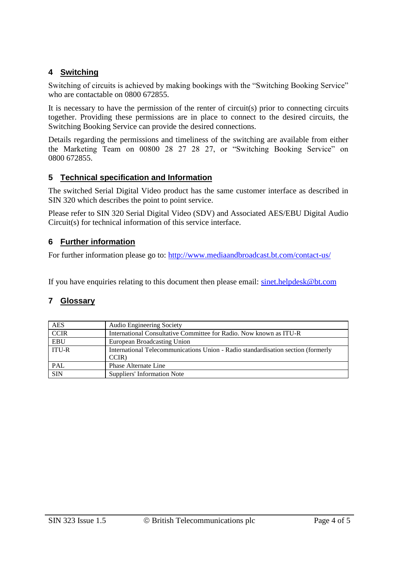# **4 Switching**

Switching of circuits is achieved by making bookings with the "Switching Booking Service" who are contactable on 0800 672855.

It is necessary to have the permission of the renter of circuit(s) prior to connecting circuits together. Providing these permissions are in place to connect to the desired circuits, the Switching Booking Service can provide the desired connections.

Details regarding the permissions and timeliness of the switching are available from either the Marketing Team on 00800 28 27 28 27, or "Switching Booking Service" on 0800 672855.

#### **5 Technical specification and Information**

The switched Serial Digital Video product has the same customer interface as described in SIN 320 which describes the point to point service.

Please refer to SIN 320 Serial Digital Video (SDV) and Associated AES/EBU Digital Audio Circuit(s) for technical information of this service interface.

#### **6 Further information**

For further information please go to: <http://www.mediaandbroadcast.bt.com/contact-us/>

If you have enquiries relating to this document then please email: [sinet.helpdesk@bt.com](mailto:sinet.helpdesk@bt.com)

## **7 Glossary**

| <b>AES</b>                                                                                       | Audio Engineering Society                                          |  |  |  |
|--------------------------------------------------------------------------------------------------|--------------------------------------------------------------------|--|--|--|
| <b>CCIR</b>                                                                                      | International Consultative Committee for Radio. Now known as ITU-R |  |  |  |
| <b>EBU</b>                                                                                       | European Broadcasting Union                                        |  |  |  |
| <b>ITU-R</b><br>International Telecommunications Union - Radio standardisation section (formerly |                                                                    |  |  |  |
|                                                                                                  | CCIR)                                                              |  |  |  |
| PAL                                                                                              | Phase Alternate Line                                               |  |  |  |
| <b>SIN</b>                                                                                       | Suppliers' Information Note                                        |  |  |  |